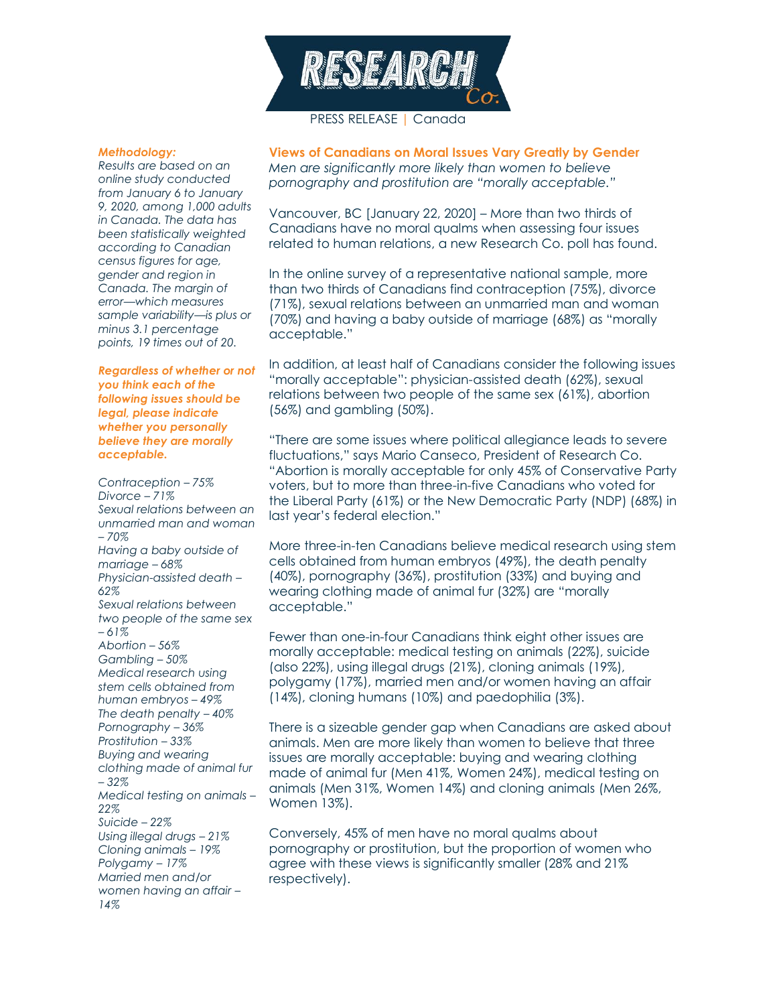

## *Methodology:*

*Results are based on an online study conducted from January 6 to January 9, 2020, among 1,000 adults in Canada. The data has been statistically weighted according to Canadian census figures for age, gender and region in Canada. The margin of error—which measures sample variability—is plus or minus 3.1 percentage points, 19 times out of 20.*

*Regardless of whether or not you think each of the following issues should be legal, please indicate whether you personally believe they are morally acceptable.*

*Contraception – 75% Divorce – 71% Sexual relations between an unmarried man and woman – 70% Having a baby outside of marriage – 68% Physician-assisted death – 62% Sexual relations between two people of the same sex – 61% Abortion – 56% Gambling – 50% Medical research using stem cells obtained from human embryos – 49% The death penalty – 40% Pornography – 36% Prostitution – 33% Buying and wearing clothing made of animal fur – 32% Medical testing on animals – 22% Suicide – 22% Using illegal drugs – 21% Cloning animals – 19% Polygamy – 17% Married men and/or women having an affair – 14%*

**Views of Canadians on Moral Issues Vary Greatly by Gender** *Men are significantly more likely than women to believe*

*pornography and prostitution are "morally acceptable."*

Vancouver, BC [January 22, 2020] – More than two thirds of Canadians have no moral qualms when assessing four issues related to human relations, a new Research Co. poll has found.

In the online survey of a representative national sample, more than two thirds of Canadians find contraception (75%), divorce (71%), sexual relations between an unmarried man and woman (70%) and having a baby outside of marriage (68%) as "morally acceptable."

In addition, at least half of Canadians consider the following issues "morally acceptable": physician-assisted death (62%), sexual relations between two people of the same sex (61%), abortion (56%) and gambling (50%).

"There are some issues where political allegiance leads to severe fluctuations," says Mario Canseco, President of Research Co. "Abortion is morally acceptable for only 45% of Conservative Party voters, but to more than three-in-five Canadians who voted for the Liberal Party (61%) or the New Democratic Party (NDP) (68%) in last year's federal election."

More three-in-ten Canadians believe medical research using stem cells obtained from human embryos (49%), the death penalty (40%), pornography (36%), prostitution (33%) and buying and wearing clothing made of animal fur (32%) are "morally acceptable."

Fewer than one-in-four Canadians think eight other issues are morally acceptable: medical testing on animals (22%), suicide (also 22%), using illegal drugs (21%), cloning animals (19%), polygamy (17%), married men and/or women having an affair (14%), cloning humans (10%) and paedophilia (3%).

There is a sizeable gender gap when Canadians are asked about animals. Men are more likely than women to believe that three issues are morally acceptable: buying and wearing clothing made of animal fur (Men 41%, Women 24%), medical testing on animals (Men 31%, Women 14%) and cloning animals (Men 26%, Women 13%).

Conversely, 45% of men have no moral qualms about pornography or prostitution, but the proportion of women who agree with these views is significantly smaller (28% and 21% respectively).